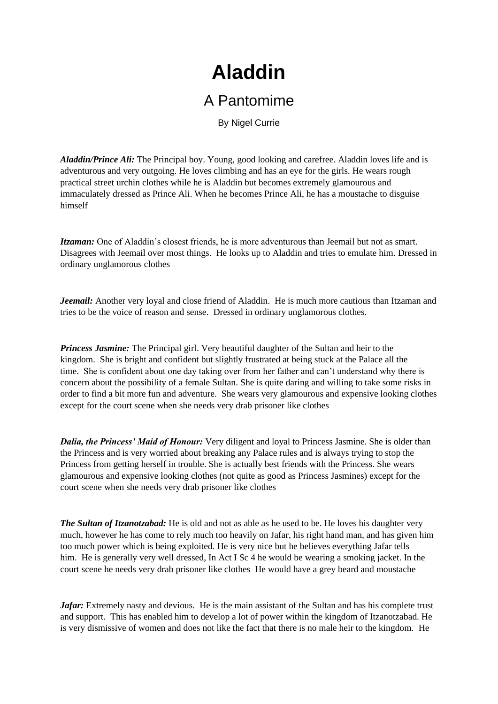## **Aladdin**

## A Pantomime

By Nigel Currie

*Aladdin/Prince Ali:* The Principal boy. Young, good looking and carefree. Aladdin loves life and is adventurous and very outgoing. He loves climbing and has an eye for the girls. He wears rough practical street urchin clothes while he is Aladdin but becomes extremely glamourous and immaculately dressed as Prince Ali. When he becomes Prince Ali, he has a moustache to disguise himself

*Itzaman:* One of Aladdin's closest friends, he is more adventurous than Jeemail but not as smart. Disagrees with Jeemail over most things. He looks up to Aladdin and tries to emulate him. Dressed in ordinary unglamorous clothes

*Jeemail:* Another very loyal and close friend of Aladdin. He is much more cautious than Itzaman and tries to be the voice of reason and sense. Dressed in ordinary unglamorous clothes.

*Princess Jasmine:* The Principal girl. Very beautiful daughter of the Sultan and heir to the kingdom. She is bright and confident but slightly frustrated at being stuck at the Palace all the time. She is confident about one day taking over from her father and can't understand why there is concern about the possibility of a female Sultan. She is quite daring and willing to take some risks in order to find a bit more fun and adventure. She wears very glamourous and expensive looking clothes except for the court scene when she needs very drab prisoner like clothes

*Dalia, the Princess' Maid of Honour:* Very diligent and loyal to Princess Jasmine. She is older than the Princess and is very worried about breaking any Palace rules and is always trying to stop the Princess from getting herself in trouble. She is actually best friends with the Princess. She wears glamourous and expensive looking clothes (not quite as good as Princess Jasmines) except for the court scene when she needs very drab prisoner like clothes

*The Sultan of Itzanotzabad:* He is old and not as able as he used to be. He loves his daughter very much, however he has come to rely much too heavily on Jafar, his right hand man, and has given him too much power which is being exploited. He is very nice but he believes everything Jafar tells him. He is generally very well dressed, In Act I Sc 4 he would be wearing a smoking jacket. In the court scene he needs very drab prisoner like clothes He would have a grey beard and moustache

*Jafar*: Extremely nasty and devious. He is the main assistant of the Sultan and has his complete trust and support. This has enabled him to develop a lot of power within the kingdom of Itzanotzabad. He is very dismissive of women and does not like the fact that there is no male heir to the kingdom. He